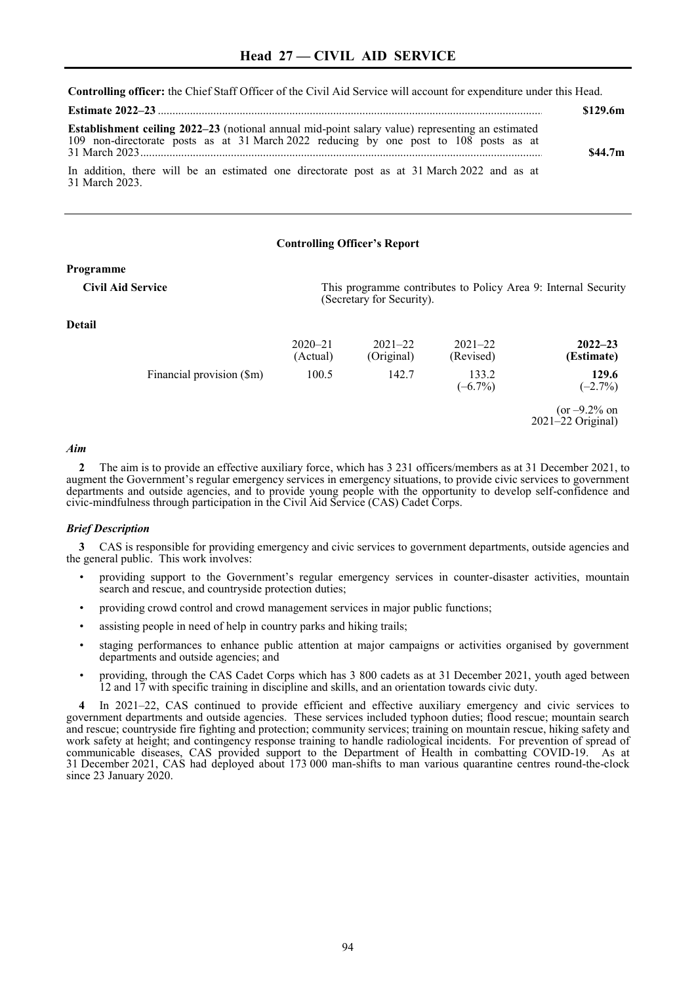**Controlling officer:** the Chief Staff Officer of the Civil Aid Service will account for expenditure under this Head.

|                                                                                                                                                                                                  | \$129.6m            |
|--------------------------------------------------------------------------------------------------------------------------------------------------------------------------------------------------|---------------------|
| <b>Establishment ceiling 2022–23</b> (notional annual mid-point salary value) representing an estimated<br>109 non-directorate posts as at 31 March 2022 reducing by one post to 108 posts as at | \$44.7 <sub>m</sub> |
| In addition, there will be an estimated one directorate post as at 31 March 2022 and as at<br>31 March 2023.                                                                                     |                     |

#### **Controlling Officer's Report**

#### **Programme**

**Civil Aid Service** This programme contributes to Policy Area 9: Internal Security (Secretary for Security).

## **Detail**

|                           | $2020 - 21$<br>(Actual) | $2021 - 22$<br>(Original) | $2021 - 22$<br>(Revised) | $2022 - 23$<br>(Estimate)                |
|---------------------------|-------------------------|---------------------------|--------------------------|------------------------------------------|
| Financial provision (\$m) | 100.5                   | 142.7                     | 133.2<br>$(-6.7\%)$      | 129.6<br>$(-2.7\%)$                      |
|                           |                         |                           |                          | (or $-9.2\%$ on<br>$2021 - 22$ Original) |

### *Aim*

**2** The aim is to provide an effective auxiliary force, which has 3 231 officers/members as at 31 December 2021, to augment the Government's regular emergency services in emergency situations, to provide civic services to government departments and outside agencies, and to provide young people with the opportunity to develop self-confidence and civic-mindfulness through participation in the Civil Aid Service (CAS) Cadet Corps.

### *Brief Description*

**3** CAS is responsible for providing emergency and civic services to government departments, outside agencies and the general public. This work involves:

- providing support to the Government's regular emergency services in counter-disaster activities, mountain search and rescue, and countryside protection duties;
- providing crowd control and crowd management services in major public functions;
- assisting people in need of help in country parks and hiking trails;
- staging performances to enhance public attention at major campaigns or activities organised by government departments and outside agencies; and
- providing, through the CAS Cadet Corps which has 3 800 cadets as at 31 December 2021, youth aged between 12 and 17 with specific training in discipline and skills, and an orientation towards civic duty.

**4** In 2021–22, CAS continued to provide efficient and effective auxiliary emergency and civic services to government departments and outside agencies. These services included typhoon duties; flood rescue; mountain search and rescue; countryside fire fighting and protection; community services; training on mountain rescue, hiking safety and work safety at height; and contingency response training to handle radiological incidents. For prevention of spread of communicable diseases, CAS provided support to the Department of Health in combatting COVID-19. As at 31 December 2021, CAS had deployed about 173 000 man-shifts to man various quarantine centres round-the-clock since 23 January 2020.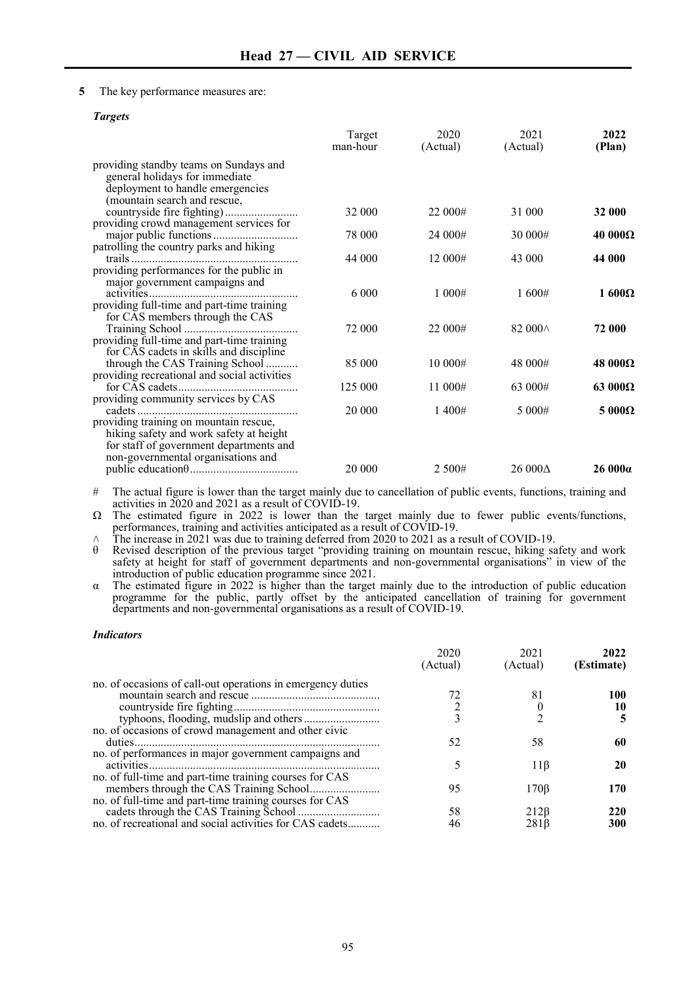# **5** The key performance measures are:

### *Targets*

|                                                                                                                                              | Target<br>man-hour | 2020<br>(Actual) | 2021<br>(Actual) | 2022<br>(Plan) |
|----------------------------------------------------------------------------------------------------------------------------------------------|--------------------|------------------|------------------|----------------|
| providing standby teams on Sundays and<br>general holidays for immediate<br>deployment to handle emergencies<br>(mountain search and rescue, |                    |                  |                  |                |
|                                                                                                                                              | 32 000             | 22 000#          | 31 000           | 32 000         |
| providing crowd management services for                                                                                                      |                    |                  |                  |                |
|                                                                                                                                              | 78 000             | 24 000#          | 30 000#          | $40000\Omega$  |
| patrolling the country parks and hiking                                                                                                      | 44 000             | 12 000#          |                  | 44 000         |
| providing performances for the public in                                                                                                     |                    |                  | 43 000           |                |
| major government campaigns and                                                                                                               |                    |                  |                  |                |
|                                                                                                                                              | 6 0 0 0            | 1.000#           | 1600#            | 1600 $\Omega$  |
| providing full-time and part-time training                                                                                                   |                    |                  |                  |                |
| for CAS members through the CAS                                                                                                              |                    |                  |                  |                |
| providing full-time and part-time training                                                                                                   | 72 000             | 22 000#          | 82 000 $\land$   | 72 000         |
| for CAS cadets in skills and discipline                                                                                                      |                    |                  |                  |                |
| through the CAS Training School                                                                                                              | 85 000             | 10 000#          | 48 000#          | $48000\Omega$  |
| providing recreational and social activities                                                                                                 |                    |                  |                  |                |
|                                                                                                                                              | 125 000            | 11 000#          | 63 000#          | $63000\Omega$  |
| providing community services by CAS                                                                                                          | 20 000             | 1400#            | 5 000#           | $5000\Omega$   |
| providing training on mountain rescue,                                                                                                       |                    |                  |                  |                |
| hiking safety and work safety at height                                                                                                      |                    |                  |                  |                |
| for staff of government departments and                                                                                                      |                    |                  |                  |                |
| non-governmental organisations and                                                                                                           |                    |                  |                  |                |
|                                                                                                                                              | 20 000             | 2 500#           | 26 000 $\Delta$  | 26000a         |

# The actual figure is lower than the target mainly due to cancellation of public events, functions, training and activities in 2020 and 2021 as a result of COVID-19.

Ω The estimated figure in 2022 is lower than the target mainly due to fewer public events/functions, performances, training and activities anticipated as a result of COVID-19.

 $\land$  The increase in 2021 was due to training deferred from 2020 to 2021 as a result of COVID-19.<br>  $\theta$  Revised description of the previous target "providing training on mountain rescue, hiking sa

θ Revised description of the previous target "providing training on mountain rescue, hiking safety and work safety at height for staff of government departments and non-governmental organisations" in view of the introduction of public education programme since 2021.

α The estimated figure in 2022 is higher than the target mainly due to the introduction of public education programme for the public, partly offset by the anticipated cancellation of training for government departments and non-governmental organisations as a result of COVID-19.

### *Indicators*

|                                                             | 2020     | 2021             | 2022       |
|-------------------------------------------------------------|----------|------------------|------------|
|                                                             | (Actual) | (Actual)         | (Estimate) |
| no. of occasions of call-out operations in emergency duties |          |                  |            |
|                                                             | 72       | 81               | 100        |
|                                                             |          |                  | 10         |
|                                                             |          |                  | 5          |
| no. of occasions of crowd management and other civic        |          |                  |            |
|                                                             | 52       | 58               | 60         |
| no. of performances in major government campaigns and       |          |                  |            |
|                                                             |          | $11\beta$        | 20         |
| no. of full-time and part-time training courses for CAS     |          |                  |            |
|                                                             | 95       | $170\beta$       | 170        |
| no. of full-time and part-time training courses for CAS     |          |                  |            |
|                                                             | 58       | 212 <sub>B</sub> | 220        |
| no. of recreational and social activities for CAS cadets    | 46       | 281 B            | 300        |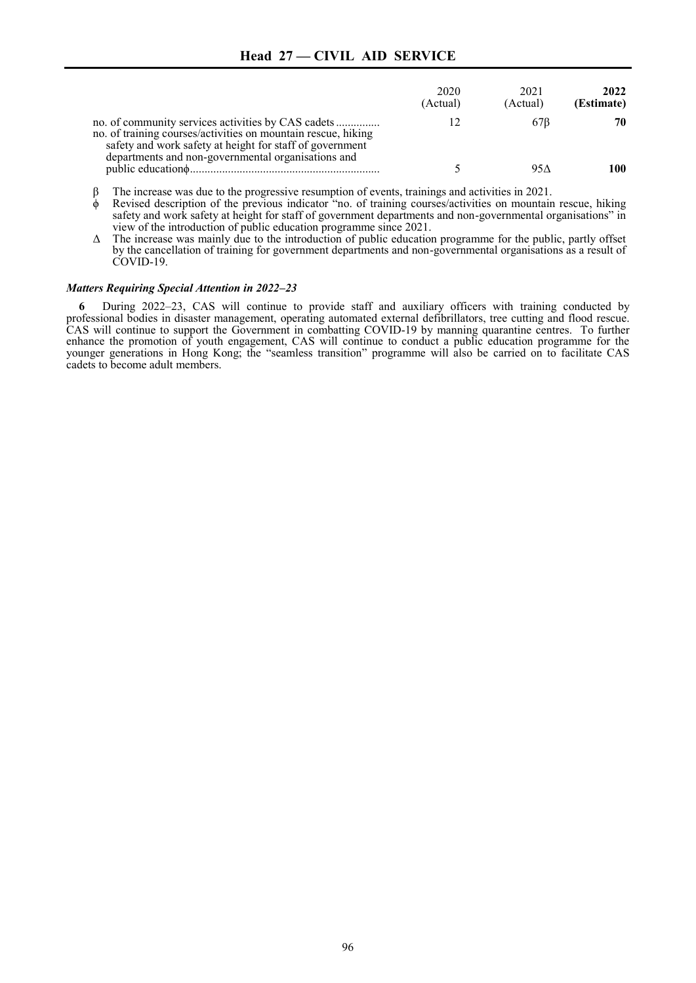# **Head 27 — CIVIL AID SERVICE**

|                                                                                                                                                                                 | 2020<br>(Actual) | 2021<br>(Actual) | 2022<br>(Estimate) |
|---------------------------------------------------------------------------------------------------------------------------------------------------------------------------------|------------------|------------------|--------------------|
| no. of training courses/activities on mountain rescue, hiking<br>safety and work safety at height for staff of government<br>departments and non-governmental organisations and |                  | 67B              | 70                 |
|                                                                                                                                                                                 |                  | 95 A             | 100                |

β The increase was due to the progressive resumption of events, trainings and activities in 2021.

- Revised description of the previous indicator "no. of training courses/activities on mountain rescue, hiking safety and work safety at height for staff of government departments and non-governmental organisations" in view of the introduction of public education programme since 2021.
- Δ The increase was mainly due to the introduction of public education programme for the public, partly offset by the cancellation of training for government departments and non-governmental organisations as a result of COVID-19.

#### *Matters Requiring Special Attention in 2022–23*

**6** During 2022–23, CAS will continue to provide staff and auxiliary officers with training conducted by professional bodies in disaster management, operating automated external defibrillators, tree cutting and flood rescue. CAS will continue to support the Government in combatting COVID-19 by manning quarantine centres. To further enhance the promotion of youth engagement, CAS will continue to conduct a public education programme for the younger generations in Hong Kong; the "seamless transition" programme will also be carried on to facilitate CAS cadets to become adult members.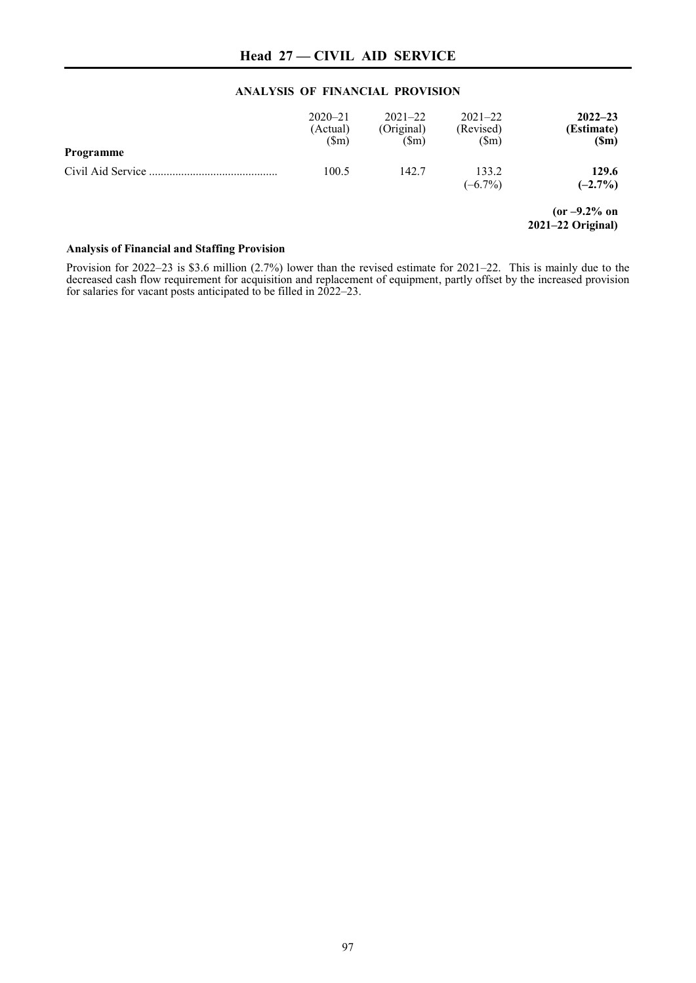# **ANALYSIS OF FINANCIAL PROVISION**

| Programme         | $2020 - 21$<br>(Actual)<br>$(\text{Sm})$ | $2021 - 22$<br>(Original)<br>$(\mathbb{S}_{m})$ | $2021 - 22$<br>(Revised)<br>$(\text{Sm})$ | $2022 - 23$<br>(Estimate)<br>(Sm)      |
|-------------------|------------------------------------------|-------------------------------------------------|-------------------------------------------|----------------------------------------|
| Civil Aid Service | 100.5                                    | 142.7                                           | 133.2<br>$(-6.7\%)$                       | 129.6<br>$(-2.7\%)$                    |
|                   |                                          |                                                 |                                           | $(or -9.2\% on$<br>$2021-22$ Original) |

# **Analysis of Financial and Staffing Provision**

Provision for 2022–23 is \$3.6 million (2.7%) lower than the revised estimate for 2021–22. This is mainly due to the decreased cash flow requirement for acquisition and replacement of equipment, partly offset by the increased provision for salaries for vacant posts anticipated to be filled in 2022–23.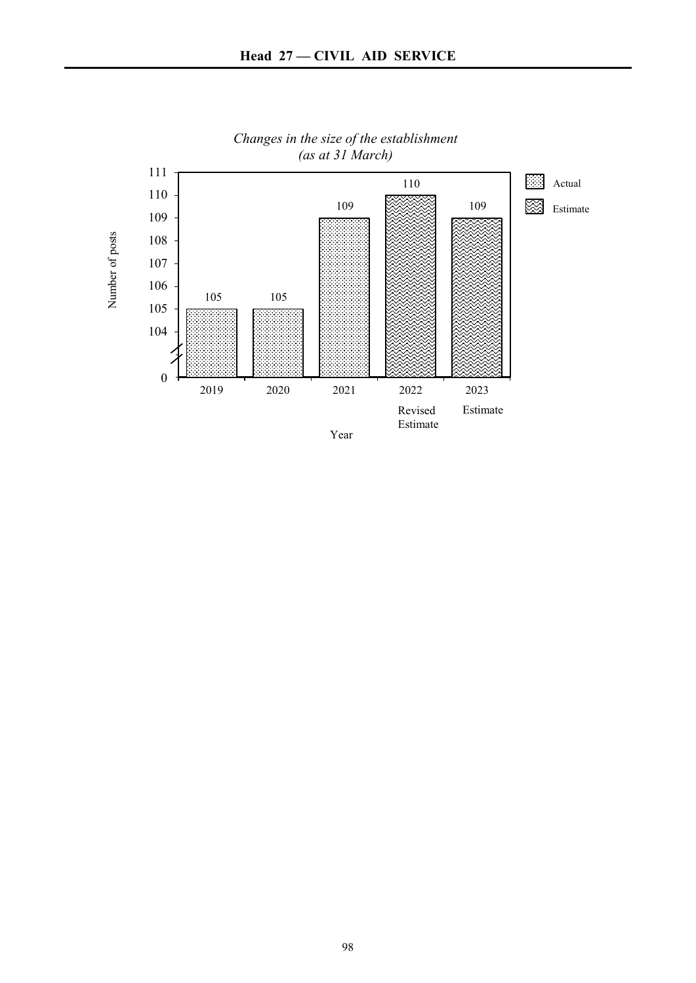

*Changes in the size of the establishment (as at 31 March)*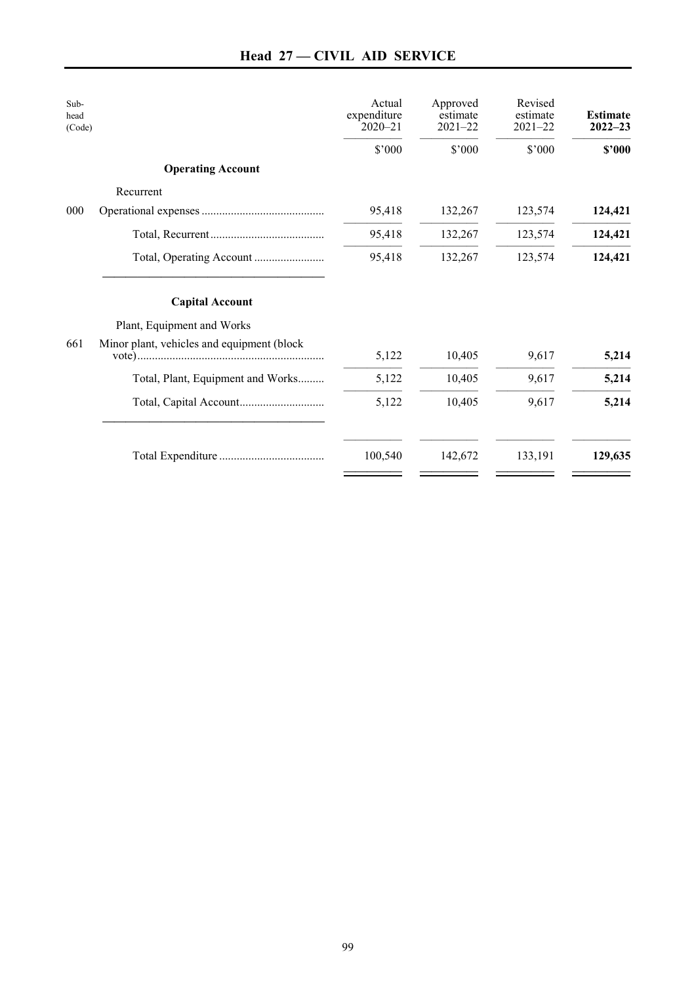| Sub-<br>head<br>(Code) |                                            | Actual<br>expenditure<br>$2020 - 21$ | Approved<br>estimate<br>$2021 - 22$ | Revised<br>estimate<br>$2021 - 22$ | <b>Estimate</b><br>$2022 - 23$ |
|------------------------|--------------------------------------------|--------------------------------------|-------------------------------------|------------------------------------|--------------------------------|
|                        |                                            | \$'000                               | \$'000                              | \$'000                             | \$2000                         |
|                        | <b>Operating Account</b>                   |                                      |                                     |                                    |                                |
|                        | Recurrent                                  |                                      |                                     |                                    |                                |
| 000                    |                                            | 95,418                               | 132,267                             | 123,574                            | 124,421                        |
|                        |                                            | 95,418                               | 132,267                             | 123,574                            | 124,421                        |
|                        |                                            | 95,418                               | 132,267                             | 123,574                            | 124,421                        |
|                        | <b>Capital Account</b>                     |                                      |                                     |                                    |                                |
|                        | Plant, Equipment and Works                 |                                      |                                     |                                    |                                |
| 661                    | Minor plant, vehicles and equipment (block | 5,122                                | 10,405                              | 9,617                              | 5,214                          |
|                        | Total, Plant, Equipment and Works          | 5,122                                | 10,405                              | 9,617                              | 5,214                          |
|                        |                                            | 5,122                                | 10,405                              | 9,617                              | 5,214                          |
|                        |                                            | 100,540                              | 142,672                             | 133,191                            | 129,635                        |